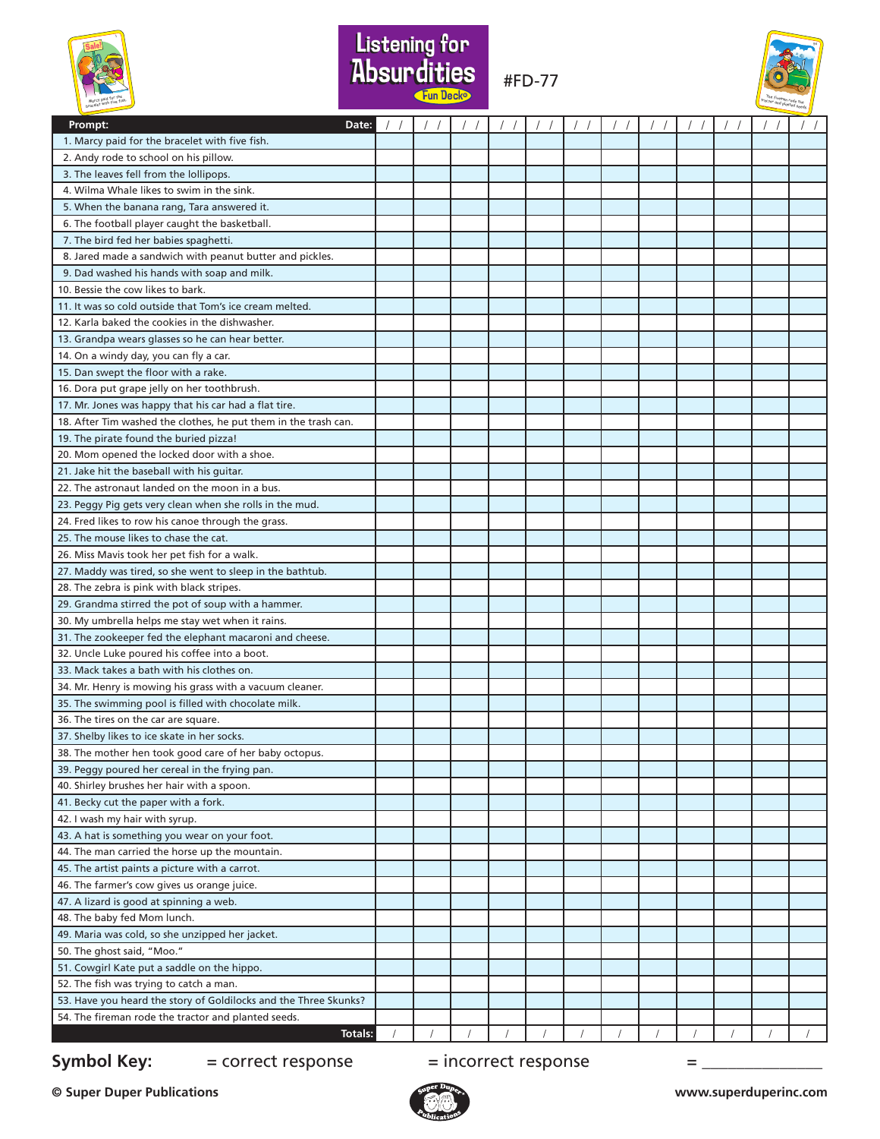



#FD-77



| Prompt:<br>Date:                                                 |  |  |  |  |  | $\left  \quad \right $ |
|------------------------------------------------------------------|--|--|--|--|--|------------------------|
| 1. Marcy paid for the bracelet with five fish.                   |  |  |  |  |  |                        |
| 2. Andy rode to school on his pillow.                            |  |  |  |  |  |                        |
| 3. The leaves fell from the lollipops.                           |  |  |  |  |  |                        |
| 4. Wilma Whale likes to swim in the sink.                        |  |  |  |  |  |                        |
| 5. When the banana rang, Tara answered it.                       |  |  |  |  |  |                        |
| 6. The football player caught the basketball.                    |  |  |  |  |  |                        |
| 7. The bird fed her babies spaghetti.                            |  |  |  |  |  |                        |
| 8. Jared made a sandwich with peanut butter and pickles.         |  |  |  |  |  |                        |
| 9. Dad washed his hands with soap and milk.                      |  |  |  |  |  |                        |
| 10. Bessie the cow likes to bark.                                |  |  |  |  |  |                        |
| 11. It was so cold outside that Tom's ice cream melted.          |  |  |  |  |  |                        |
| 12. Karla baked the cookies in the dishwasher.                   |  |  |  |  |  |                        |
| 13. Grandpa wears glasses so he can hear better.                 |  |  |  |  |  |                        |
| 14. On a windy day, you can fly a car.                           |  |  |  |  |  |                        |
| 15. Dan swept the floor with a rake.                             |  |  |  |  |  |                        |
| 16. Dora put grape jelly on her toothbrush.                      |  |  |  |  |  |                        |
| 17. Mr. Jones was happy that his car had a flat tire.            |  |  |  |  |  |                        |
| 18. After Tim washed the clothes, he put them in the trash can.  |  |  |  |  |  |                        |
| 19. The pirate found the buried pizza!                           |  |  |  |  |  |                        |
| 20. Mom opened the locked door with a shoe.                      |  |  |  |  |  |                        |
| 21. Jake hit the baseball with his quitar.                       |  |  |  |  |  |                        |
| 22. The astronaut landed on the moon in a bus.                   |  |  |  |  |  |                        |
| 23. Peggy Pig gets very clean when she rolls in the mud.         |  |  |  |  |  |                        |
| 24. Fred likes to row his canoe through the grass.               |  |  |  |  |  |                        |
| 25. The mouse likes to chase the cat.                            |  |  |  |  |  |                        |
| 26. Miss Mavis took her pet fish for a walk.                     |  |  |  |  |  |                        |
| 27. Maddy was tired, so she went to sleep in the bathtub.        |  |  |  |  |  |                        |
| 28. The zebra is pink with black stripes.                        |  |  |  |  |  |                        |
| 29. Grandma stirred the pot of soup with a hammer.               |  |  |  |  |  |                        |
| 30. My umbrella helps me stay wet when it rains.                 |  |  |  |  |  |                        |
| 31. The zookeeper fed the elephant macaroni and cheese.          |  |  |  |  |  |                        |
| 32. Uncle Luke poured his coffee into a boot.                    |  |  |  |  |  |                        |
| 33. Mack takes a bath with his clothes on.                       |  |  |  |  |  |                        |
| 34. Mr. Henry is mowing his grass with a vacuum cleaner.         |  |  |  |  |  |                        |
| 35. The swimming pool is filled with chocolate milk.             |  |  |  |  |  |                        |
| 36. The tires on the car are square.                             |  |  |  |  |  |                        |
| 37. Shelby likes to ice skate in her socks.                      |  |  |  |  |  |                        |
| 38. The mother hen took good care of her baby octopus.           |  |  |  |  |  |                        |
| 39. Peggy poured her cereal in the frying pan.                   |  |  |  |  |  |                        |
| 40. Shirley brushes her hair with a spoon.                       |  |  |  |  |  |                        |
| 41. Becky cut the paper with a fork.                             |  |  |  |  |  |                        |
| 42. I wash my hair with syrup.                                   |  |  |  |  |  |                        |
| 43. A hat is something you wear on your foot.                    |  |  |  |  |  |                        |
| 44. The man carried the horse up the mountain.                   |  |  |  |  |  |                        |
| 45. The artist paints a picture with a carrot.                   |  |  |  |  |  |                        |
| 46. The farmer's cow gives us orange juice.                      |  |  |  |  |  |                        |
| 47. A lizard is good at spinning a web.                          |  |  |  |  |  |                        |
| 48. The baby fed Mom lunch.                                      |  |  |  |  |  |                        |
| 49. Maria was cold, so she unzipped her jacket.                  |  |  |  |  |  |                        |
| 50. The ghost said, "Moo."                                       |  |  |  |  |  |                        |
| 51. Cowgirl Kate put a saddle on the hippo.                      |  |  |  |  |  |                        |
| 52. The fish was trying to catch a man.                          |  |  |  |  |  |                        |
| 53. Have you heard the story of Goldilocks and the Three Skunks? |  |  |  |  |  |                        |
| 54. The fireman rode the tractor and planted seeds.              |  |  |  |  |  |                        |
| Totals:                                                          |  |  |  |  |  |                        |

## **Symbol Key:**  $=$  correct response  $=$  incorrect response  $=$  \_\_\_\_\_\_\_\_\_\_\_\_\_\_\_\_\_\_\_\_

**© Super Duper Publications www.superduperinc.com**